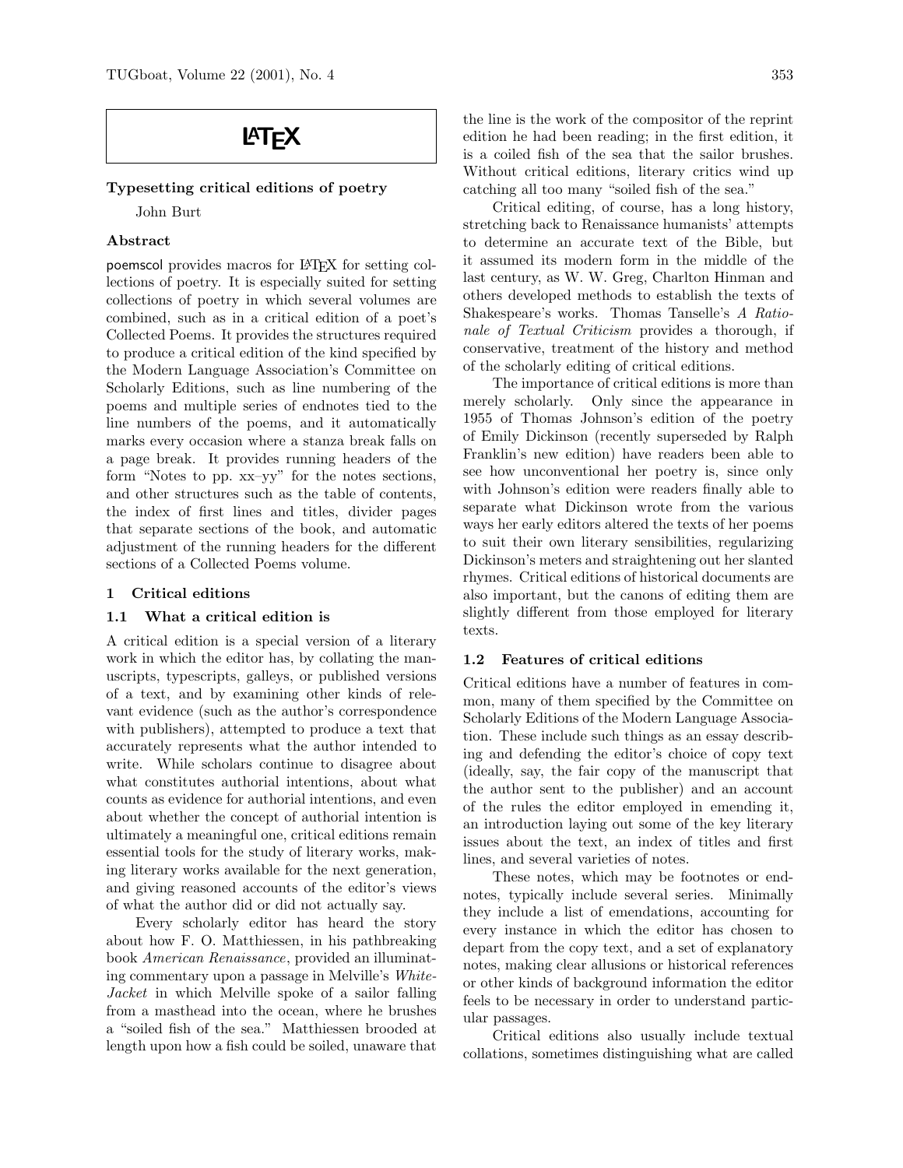# **LAT<sub>F</sub>X**

#### Typesetting critical editions of poetry

John Burt

#### Abstract

poemscol provides macros for LATEX for setting collections of poetry. It is especially suited for setting collections of poetry in which several volumes are combined, such as in a critical edition of a poet's Collected Poems. It provides the structures required to produce a critical edition of the kind specified by the Modern Language Association's Committee on Scholarly Editions, such as line numbering of the poems and multiple series of endnotes tied to the line numbers of the poems, and it automatically marks every occasion where a stanza break falls on a page break. It provides running headers of the form "Notes to pp. xx–yy" for the notes sections, and other structures such as the table of contents, the index of first lines and titles, divider pages that separate sections of the book, and automatic adjustment of the running headers for the different sections of a Collected Poems volume.

#### 1 Critical editions

#### 1.1 What a critical edition is

A critical edition is a special version of a literary work in which the editor has, by collating the manuscripts, typescripts, galleys, or published versions of a text, and by examining other kinds of relevant evidence (such as the author's correspondence with publishers), attempted to produce a text that accurately represents what the author intended to write. While scholars continue to disagree about what constitutes authorial intentions, about what counts as evidence for authorial intentions, and even about whether the concept of authorial intention is ultimately a meaningful one, critical editions remain essential tools for the study of literary works, making literary works available for the next generation, and giving reasoned accounts of the editor's views of what the author did or did not actually say.

Every scholarly editor has heard the story about how F. O. Matthiessen, in his pathbreaking book American Renaissance, provided an illuminating commentary upon a passage in Melville's White-Jacket in which Melville spoke of a sailor falling from a masthead into the ocean, where he brushes a "soiled fish of the sea." Matthiessen brooded at length upon how a fish could be soiled, unaware that the line is the work of the compositor of the reprint edition he had been reading; in the first edition, it is a coiled fish of the sea that the sailor brushes. Without critical editions, literary critics wind up catching all too many "soiled fish of the sea."

Critical editing, of course, has a long history, stretching back to Renaissance humanists' attempts to determine an accurate text of the Bible, but it assumed its modern form in the middle of the last century, as W. W. Greg, Charlton Hinman and others developed methods to establish the texts of Shakespeare's works. Thomas Tanselle's A Rationale of Textual Criticism provides a thorough, if conservative, treatment of the history and method of the scholarly editing of critical editions.

The importance of critical editions is more than merely scholarly. Only since the appearance in 1955 of Thomas Johnson's edition of the poetry of Emily Dickinson (recently superseded by Ralph Franklin's new edition) have readers been able to see how unconventional her poetry is, since only with Johnson's edition were readers finally able to separate what Dickinson wrote from the various ways her early editors altered the texts of her poems to suit their own literary sensibilities, regularizing Dickinson's meters and straightening out her slanted rhymes. Critical editions of historical documents are also important, but the canons of editing them are slightly different from those employed for literary texts.

#### 1.2 Features of critical editions

Critical editions have a number of features in common, many of them specified by the Committee on Scholarly Editions of the Modern Language Association. These include such things as an essay describing and defending the editor's choice of copy text (ideally, say, the fair copy of the manuscript that the author sent to the publisher) and an account of the rules the editor employed in emending it, an introduction laying out some of the key literary issues about the text, an index of titles and first lines, and several varieties of notes.

These notes, which may be footnotes or endnotes, typically include several series. Minimally they include a list of emendations, accounting for every instance in which the editor has chosen to depart from the copy text, and a set of explanatory notes, making clear allusions or historical references or other kinds of background information the editor feels to be necessary in order to understand particular passages.

Critical editions also usually include textual collations, sometimes distinguishing what are called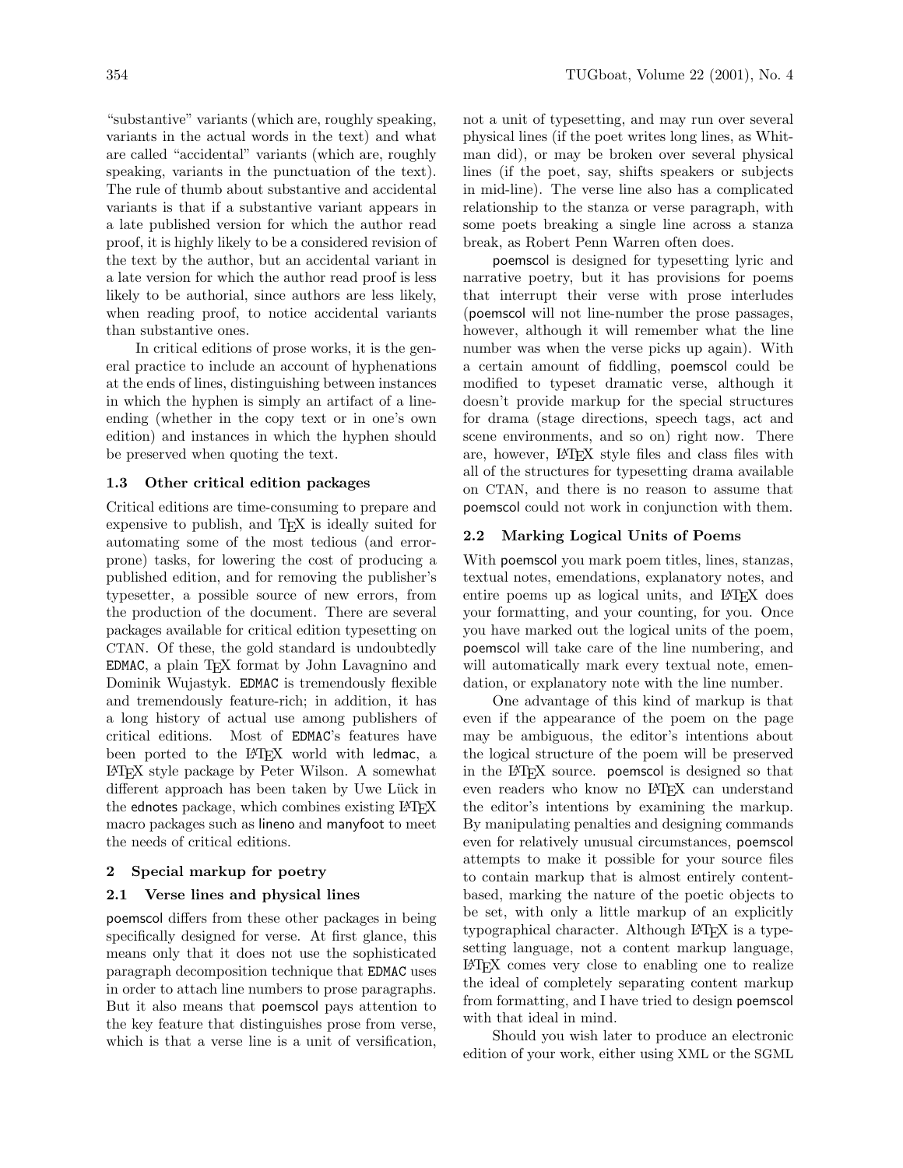"substantive" variants (which are, roughly speaking, variants in the actual words in the text) and what are called "accidental" variants (which are, roughly speaking, variants in the punctuation of the text). The rule of thumb about substantive and accidental variants is that if a substantive variant appears in a late published version for which the author read proof, it is highly likely to be a considered revision of the text by the author, but an accidental variant in a late version for which the author read proof is less likely to be authorial, since authors are less likely, when reading proof, to notice accidental variants than substantive ones.

In critical editions of prose works, it is the general practice to include an account of hyphenations at the ends of lines, distinguishing between instances in which the hyphen is simply an artifact of a lineending (whether in the copy text or in one's own edition) and instances in which the hyphen should be preserved when quoting the text.

#### 1.3 Other critical edition packages

Critical editions are time-consuming to prepare and expensive to publish, and T<sub>EX</sub> is ideally suited for automating some of the most tedious (and errorprone) tasks, for lowering the cost of producing a published edition, and for removing the publisher's typesetter, a possible source of new errors, from the production of the document. There are several packages available for critical edition typesetting on CTAN. Of these, the gold standard is undoubtedly EDMAC, a plain T<sub>E</sub>X format by John Lavagnino and Dominik Wujastyk. EDMAC is tremendously flexible and tremendously feature-rich; in addition, it has a long history of actual use among publishers of critical editions. Most of EDMAC's features have been ported to the LATEX world with ledmac, a LATEX style package by Peter Wilson. A somewhat different approach has been taken by Uwe Lück in the ednotes package, which combines existing LATEX macro packages such as lineno and manyfoot to meet the needs of critical editions.

#### 2 Special markup for poetry

#### 2.1 Verse lines and physical lines

poemscol differs from these other packages in being specifically designed for verse. At first glance, this means only that it does not use the sophisticated paragraph decomposition technique that EDMAC uses in order to attach line numbers to prose paragraphs. But it also means that poemscol pays attention to the key feature that distinguishes prose from verse, which is that a verse line is a unit of versification, not a unit of typesetting, and may run over several physical lines (if the poet writes long lines, as Whitman did), or may be broken over several physical lines (if the poet, say, shifts speakers or subjects in mid-line). The verse line also has a complicated relationship to the stanza or verse paragraph, with some poets breaking a single line across a stanza break, as Robert Penn Warren often does.

poemscol is designed for typesetting lyric and narrative poetry, but it has provisions for poems that interrupt their verse with prose interludes (poemscol will not line-number the prose passages, however, although it will remember what the line number was when the verse picks up again). With a certain amount of fiddling, poemscol could be modified to typeset dramatic verse, although it doesn't provide markup for the special structures for drama (stage directions, speech tags, act and scene environments, and so on) right now. There are, however, LATEX style files and class files with all of the structures for typesetting drama available on CTAN, and there is no reason to assume that poemscol could not work in conjunction with them.

### 2.2 Marking Logical Units of Poems

With poemscol you mark poem titles, lines, stanzas, textual notes, emendations, explanatory notes, and entire poems up as logical units, and LAT<sub>EX</sub> does your formatting, and your counting, for you. Once you have marked out the logical units of the poem, poemscol will take care of the line numbering, and will automatically mark every textual note, emendation, or explanatory note with the line number.

One advantage of this kind of markup is that even if the appearance of the poem on the page may be ambiguous, the editor's intentions about the logical structure of the poem will be preserved in the LATEX source. poemscol is designed so that even readers who know no LATEX can understand the editor's intentions by examining the markup. By manipulating penalties and designing commands even for relatively unusual circumstances, poemscol attempts to make it possible for your source files to contain markup that is almost entirely contentbased, marking the nature of the poetic objects to be set, with only a little markup of an explicitly typographical character. Although LAT<sub>EX</sub> is a typesetting language, not a content markup language, LATEX comes very close to enabling one to realize the ideal of completely separating content markup from formatting, and I have tried to design poemscol with that ideal in mind.

Should you wish later to produce an electronic edition of your work, either using XML or the SGML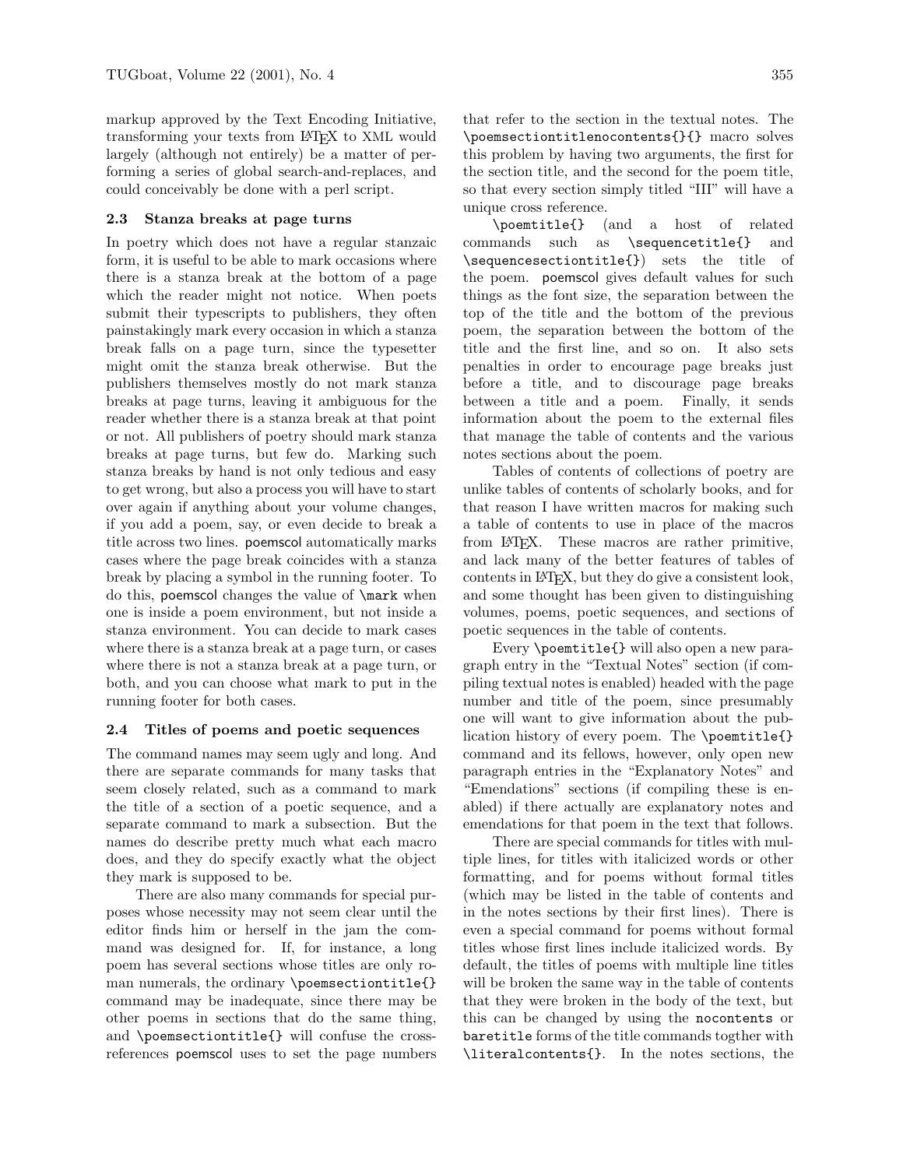markup approved by the Text Encoding Initiative, transforming your texts from LATEX to XML would largely (although not entirely) be a matter of performing a series of global search-and-replaces, and could conceivably be done with a perl script.

#### 2.3 Stanza breaks at page turns

In poetry which does not have a regular stanzaic form, it is useful to be able to mark occasions where there is a stanza break at the bottom of a page which the reader might not notice. When poets submit their typescripts to publishers, they often painstakingly mark every occasion in which a stanza break falls on a page turn, since the typesetter might omit the stanza break otherwise. But the publishers themselves mostly do not mark stanza breaks at page turns, leaving it ambiguous for the reader whether there is a stanza break at that point or not. All publishers of poetry should mark stanza breaks at page turns, but few do. Marking such stanza breaks by hand is not only tedious and easy to get wrong, but also a process you will have to start over again if anything about your volume changes, if you add a poem, say, or even decide to break a title across two lines. poemscol automatically marks cases where the page break coincides with a stanza break by placing a symbol in the running footer. To do this, poemscol changes the value of \mark when one is inside a poem environment, but not inside a stanza environment. You can decide to mark cases where there is a stanza break at a page turn, or cases where there is not a stanza break at a page turn, or both, and you can choose what mark to put in the running footer for both cases.

#### 2.4 Titles of poems and poetic sequences

The command names may seem ugly and long. And there are separate commands for many tasks that seem closely related, such as a command to mark the title of a section of a poetic sequence, and a separate command to mark a subsection. But the names do describe pretty much what each macro does, and they do specify exactly what the object they mark is supposed to be.

There are also many commands for special purposes whose necessity may not seem clear until the editor finds him or herself in the jam the command was designed for. If, for instance, a long poem has several sections whose titles are only roman numerals, the ordinary \poemsectiontitle{} command may be inadequate, since there may be other poems in sections that do the same thing, and \poemsectiontitle{} will confuse the crossreferences poemscol uses to set the page numbers that refer to the section in the textual notes. The \poemsectiontitlenocontents{}{} macro solves this problem by having two arguments, the first for the section title, and the second for the poem title, so that every section simply titled "III" will have a unique cross reference.

\poemtitle{} (and a host of related commands such as \sequencetitle{} and \sequencesectiontitle{}) sets the title of the poem. poemscol gives default values for such things as the font size, the separation between the top of the title and the bottom of the previous poem, the separation between the bottom of the title and the first line, and so on. It also sets penalties in order to encourage page breaks just before a title, and to discourage page breaks between a title and a poem. Finally, it sends information about the poem to the external files that manage the table of contents and the various notes sections about the poem.

Tables of contents of collections of poetry are unlike tables of contents of scholarly books, and for that reason I have written macros for making such a table of contents to use in place of the macros from LATEX. These macros are rather primitive, and lack many of the better features of tables of contents in LATEX, but they do give a consistent look, and some thought has been given to distinguishing volumes, poems, poetic sequences, and sections of poetic sequences in the table of contents.

Every \poemtitle{} will also open a new paragraph entry in the "Textual Notes" section (if compiling textual notes is enabled) headed with the page number and title of the poem, since presumably one will want to give information about the publication history of every poem. The \poemtitle{} command and its fellows, however, only open new paragraph entries in the "Explanatory Notes" and "Emendations" sections (if compiling these is enabled) if there actually are explanatory notes and emendations for that poem in the text that follows.

There are special commands for titles with multiple lines, for titles with italicized words or other formatting, and for poems without formal titles (which may be listed in the table of contents and in the notes sections by their first lines). There is even a special command for poems without formal titles whose first lines include italicized words. By default, the titles of poems with multiple line titles will be broken the same way in the table of contents that they were broken in the body of the text, but this can be changed by using the nocontents or baretitle forms of the title commands togther with \literalcontents{}. In the notes sections, the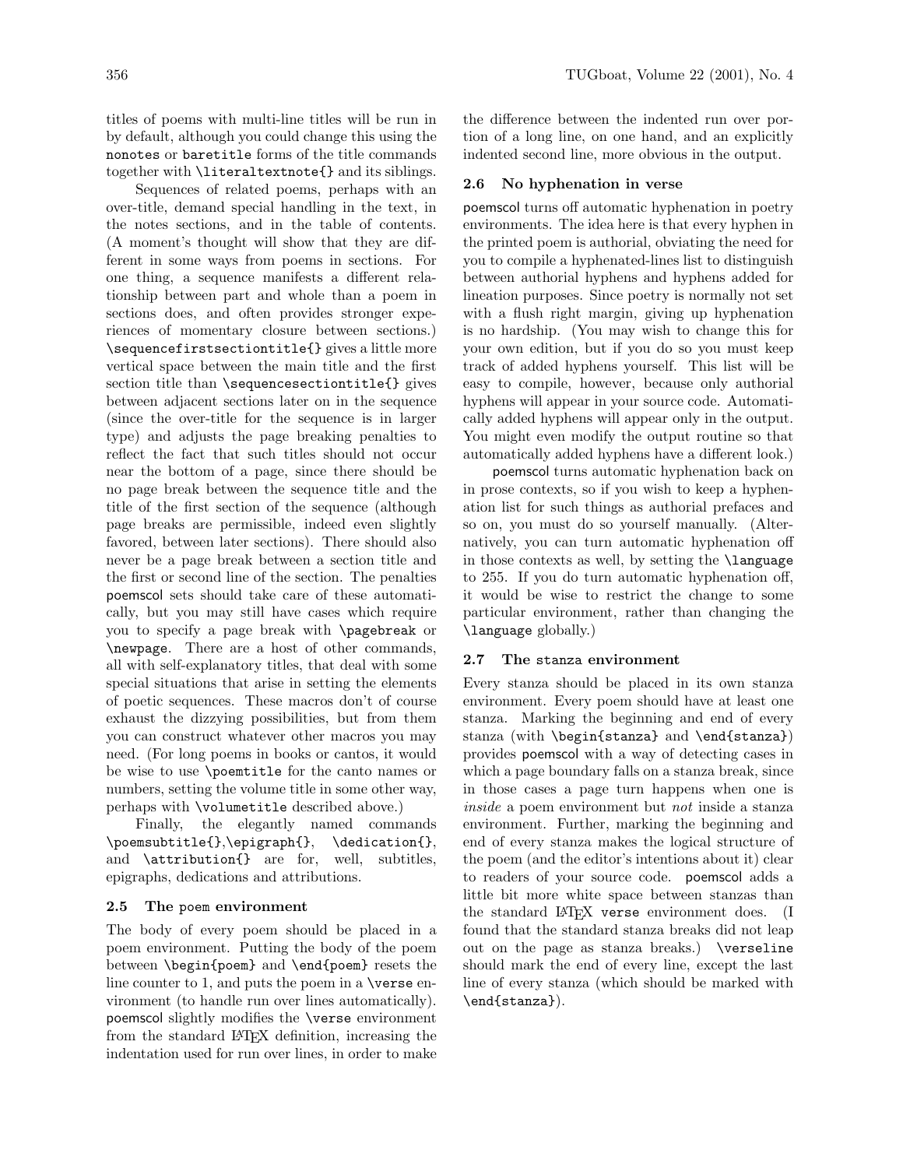titles of poems with multi-line titles will be run in by default, although you could change this using the nonotes or baretitle forms of the title commands together with \literaltextnote{} and its siblings.

Sequences of related poems, perhaps with an over-title, demand special handling in the text, in the notes sections, and in the table of contents. (A moment's thought will show that they are different in some ways from poems in sections. For one thing, a sequence manifests a different relationship between part and whole than a poem in sections does, and often provides stronger experiences of momentary closure between sections.) \sequencefirstsectiontitle{} gives a little more vertical space between the main title and the first section title than \sequencesectiontitle{} gives between adjacent sections later on in the sequence (since the over-title for the sequence is in larger type) and adjusts the page breaking penalties to reflect the fact that such titles should not occur near the bottom of a page, since there should be no page break between the sequence title and the title of the first section of the sequence (although page breaks are permissible, indeed even slightly favored, between later sections). There should also never be a page break between a section title and the first or second line of the section. The penalties poemscol sets should take care of these automatically, but you may still have cases which require you to specify a page break with \pagebreak or \newpage. There are a host of other commands, all with self-explanatory titles, that deal with some special situations that arise in setting the elements of poetic sequences. These macros don't of course exhaust the dizzying possibilities, but from them you can construct whatever other macros you may need. (For long poems in books or cantos, it would be wise to use \poemtitle for the canto names or numbers, setting the volume title in some other way, perhaps with \volumetitle described above.)

Finally, the elegantly named commands \poemsubtitle{},\epigraph{}, \dedication{}, and \attribution{} are for, well, subtitles, epigraphs, dedications and attributions.

#### 2.5 The poem environment

The body of every poem should be placed in a poem environment. Putting the body of the poem between \begin{poem} and \end{poem} resets the line counter to 1, and puts the poem in a \verse environment (to handle run over lines automatically). poemscol slightly modifies the \verse environment from the standard LATEX definition, increasing the indentation used for run over lines, in order to make the difference between the indented run over portion of a long line, on one hand, and an explicitly indented second line, more obvious in the output.

#### 2.6 No hyphenation in verse

poemscol turns off automatic hyphenation in poetry environments. The idea here is that every hyphen in the printed poem is authorial, obviating the need for you to compile a hyphenated-lines list to distinguish between authorial hyphens and hyphens added for lineation purposes. Since poetry is normally not set with a flush right margin, giving up hyphenation is no hardship. (You may wish to change this for your own edition, but if you do so you must keep track of added hyphens yourself. This list will be easy to compile, however, because only authorial hyphens will appear in your source code. Automatically added hyphens will appear only in the output. You might even modify the output routine so that automatically added hyphens have a different look.)

poemscol turns automatic hyphenation back on in prose contexts, so if you wish to keep a hyphenation list for such things as authorial prefaces and so on, you must do so yourself manually. (Alternatively, you can turn automatic hyphenation off in those contexts as well, by setting the \language to 255. If you do turn automatic hyphenation off, it would be wise to restrict the change to some particular environment, rather than changing the \language globally.)

#### 2.7 The stanza environment

Every stanza should be placed in its own stanza environment. Every poem should have at least one stanza. Marking the beginning and end of every stanza (with \begin{stanza} and \end{stanza}) provides poemscol with a way of detecting cases in which a page boundary falls on a stanza break, since in those cases a page turn happens when one is inside a poem environment but not inside a stanza environment. Further, marking the beginning and end of every stanza makes the logical structure of the poem (and the editor's intentions about it) clear to readers of your source code. poemscol adds a little bit more white space between stanzas than the standard LATEX verse environment does. (I found that the standard stanza breaks did not leap out on the page as stanza breaks.) \verseline should mark the end of every line, except the last line of every stanza (which should be marked with \end{stanza}).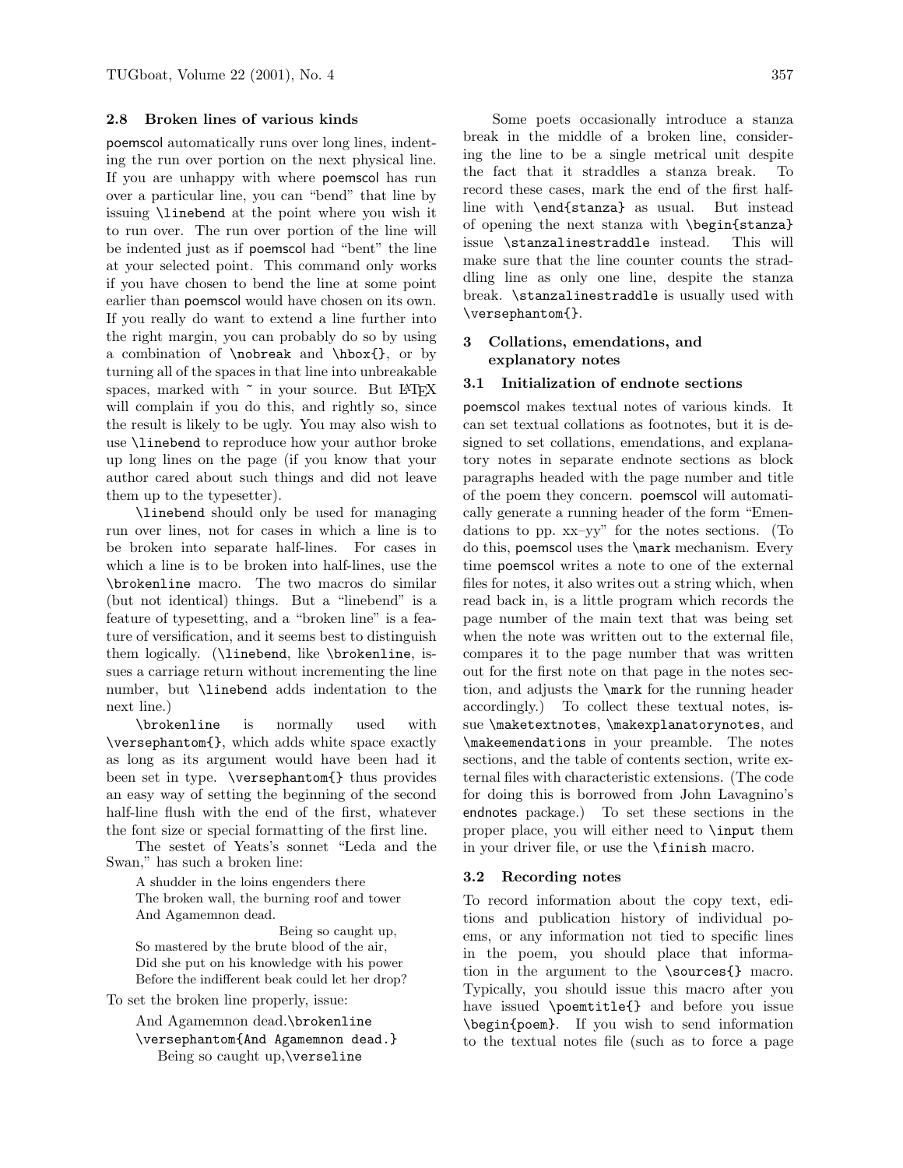#### 2.8 Broken lines of various kinds

poemscol automatically runs over long lines, indenting the run over portion on the next physical line. If you are unhappy with where poemscol has run over a particular line, you can "bend" that line by issuing \linebend at the point where you wish it to run over. The run over portion of the line will be indented just as if poemscol had "bent" the line at your selected point. This command only works if you have chosen to bend the line at some point earlier than poemscol would have chosen on its own. If you really do want to extend a line further into the right margin, you can probably do so by using a combination of \nobreak and \hbox{}, or by turning all of the spaces in that line into unbreakable spaces, marked with  $\tilde{ }$  in your source. But LATEX will complain if you do this, and rightly so, since the result is likely to be ugly. You may also wish to use \linebend to reproduce how your author broke up long lines on the page (if you know that your author cared about such things and did not leave them up to the typesetter).

\linebend should only be used for managing run over lines, not for cases in which a line is to be broken into separate half-lines. For cases in which a line is to be broken into half-lines, use the \brokenline macro. The two macros do similar (but not identical) things. But a "linebend" is a feature of typesetting, and a "broken line" is a feature of versification, and it seems best to distinguish them logically. (\linebend, like \brokenline, issues a carriage return without incrementing the line number, but \linebend adds indentation to the next line.)

\brokenline is normally used with \versephantom{}, which adds white space exactly as long as its argument would have been had it been set in type. \versephantom{} thus provides an easy way of setting the beginning of the second half-line flush with the end of the first, whatever the font size or special formatting of the first line.

The sestet of Yeats's sonnet "Leda and the Swan," has such a broken line:

A shudder in the loins engenders there The broken wall, the burning roof and tower And Agamemnon dead.

Being so caught up, So mastered by the brute blood of the air, Did she put on his knowledge with his power Before the indifferent beak could let her drop?

To set the broken line properly, issue:

And Agamemnon dead.\brokenline \versephantom{And Agamemnon dead.} Being so caught up,\verseline

Some poets occasionally introduce a stanza break in the middle of a broken line, considering the line to be a single metrical unit despite the fact that it straddles a stanza break. To record these cases, mark the end of the first halfline with \end{stanza} as usual. But instead of opening the next stanza with \begin{stanza} issue \stanzalinestraddle instead. This will make sure that the line counter counts the straddling line as only one line, despite the stanza break. \stanzalinestraddle is usually used with \versephantom{}.

#### 3 Collations, emendations, and explanatory notes

#### 3.1 Initialization of endnote sections

poemscol makes textual notes of various kinds. It can set textual collations as footnotes, but it is designed to set collations, emendations, and explanatory notes in separate endnote sections as block paragraphs headed with the page number and title of the poem they concern. poemscol will automatically generate a running header of the form "Emendations to pp. xx–yy" for the notes sections. (To do this, poemscol uses the \mark mechanism. Every time poemscol writes a note to one of the external files for notes, it also writes out a string which, when read back in, is a little program which records the page number of the main text that was being set when the note was written out to the external file, compares it to the page number that was written out for the first note on that page in the notes section, and adjusts the \mark for the running header accordingly.) To collect these textual notes, issue \maketextnotes, \makexplanatorynotes, and \makeemendations in your preamble. The notes sections, and the table of contents section, write external files with characteristic extensions. (The code for doing this is borrowed from John Lavagnino's endnotes package.) To set these sections in the proper place, you will either need to \input them in your driver file, or use the \finish macro.

#### 3.2 Recording notes

To record information about the copy text, editions and publication history of individual poems, or any information not tied to specific lines in the poem, you should place that information in the argument to the \sources{} macro. Typically, you should issue this macro after you have issued \poemtitle{} and before you issue \begin{poem}. If you wish to send information to the textual notes file (such as to force a page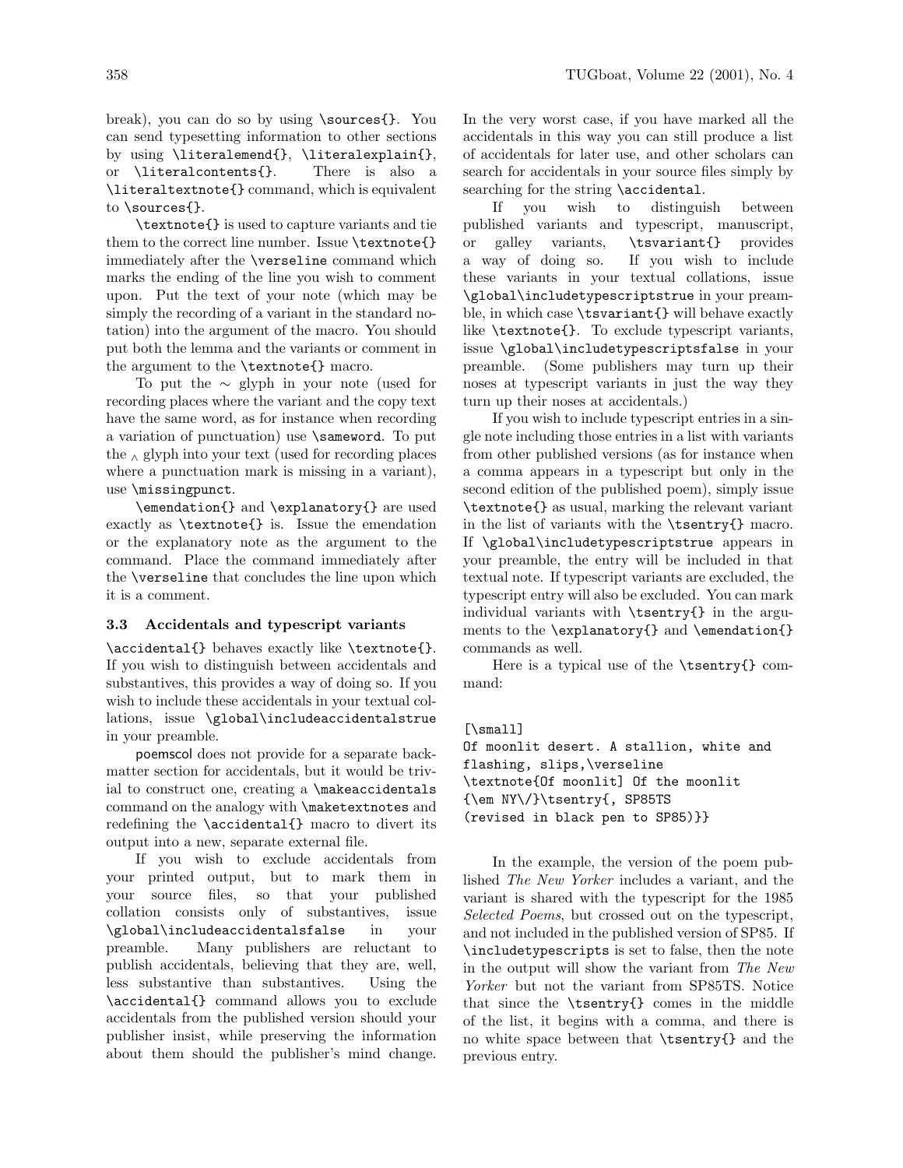break), you can do so by using \sources{}. You can send typesetting information to other sections by using \literalemend{}, \literalexplain{}, or \literalcontents{}. There is also a \literaltextnote{} command, which is equivalent to \sources{}.

\textnote{} is used to capture variants and tie them to the correct line number. Issue \textnote{} immediately after the \verseline command which marks the ending of the line you wish to comment upon. Put the text of your note (which may be simply the recording of a variant in the standard notation) into the argument of the macro. You should put both the lemma and the variants or comment in the argument to the \textnote{} macro.

To put the ∼ glyph in your note (used for recording places where the variant and the copy text have the same word, as for instance when recording a variation of punctuation) use \sameword. To put the  $\land$  glyph into your text (used for recording places where a punctuation mark is missing in a variant), use \missingpunct.

\emendation{} and \explanatory{} are used exactly as \textnote{} is. Issue the emendation or the explanatory note as the argument to the command. Place the command immediately after the \verseline that concludes the line upon which it is a comment.

#### 3.3 Accidentals and typescript variants

\accidental{} behaves exactly like \textnote{}. If you wish to distinguish between accidentals and substantives, this provides a way of doing so. If you wish to include these accidentals in your textual collations, issue \global\includeaccidentalstrue in your preamble.

poemscol does not provide for a separate backmatter section for accidentals, but it would be trivial to construct one, creating a \makeaccidentals command on the analogy with \maketextnotes and redefining the \accidental{} macro to divert its output into a new, separate external file.

If you wish to exclude accidentals from your printed output, but to mark them in your source files, so that your published collation consists only of substantives, issue \global\includeaccidentalsfalse in your preamble. Many publishers are reluctant to publish accidentals, believing that they are, well, less substantive than substantives. Using the \accidental{} command allows you to exclude accidentals from the published version should your publisher insist, while preserving the information about them should the publisher's mind change.

In the very worst case, if you have marked all the accidentals in this way you can still produce a list of accidentals for later use, and other scholars can search for accidentals in your source files simply by searching for the string \accidental.

If you wish to distinguish between published variants and typescript, manuscript, or galley variants, \tsvariant{} provides a way of doing so. If you wish to include these variants in your textual collations, issue \global\includetypescriptstrue in your preamble, in which case \tsvariant{} will behave exactly like \textnote{}. To exclude typescript variants, issue \global\includetypescriptsfalse in your preamble. (Some publishers may turn up their noses at typescript variants in just the way they turn up their noses at accidentals.)

If you wish to include typescript entries in a single note including those entries in a list with variants from other published versions (as for instance when a comma appears in a typescript but only in the second edition of the published poem), simply issue \textnote{} as usual, marking the relevant variant in the list of variants with the \tsentry{} macro. If \global\includetypescriptstrue appears in your preamble, the entry will be included in that textual note. If typescript variants are excluded, the typescript entry will also be excluded. You can mark individual variants with \tsentry{} in the arguments to the \explanatory{} and \emendation{} commands as well.

Here is a typical use of the \tsentry{} command:

#### [\small]

```
Of moonlit desert. A stallion, white and
flashing, slips,\verseline
\textnote{Of moonlit] Of the moonlit
{\em NY\/}\tsentry{, SP85TS
(revised in black pen to SP85)}}
```
In the example, the version of the poem published The New Yorker includes a variant, and the variant is shared with the typescript for the 1985 Selected Poems, but crossed out on the typescript, and not included in the published version of SP85. If \includetypescripts is set to false, then the note in the output will show the variant from The New Yorker but not the variant from SP85TS. Notice that since the \tsentry{} comes in the middle of the list, it begins with a comma, and there is no white space between that \tsentry{} and the previous entry.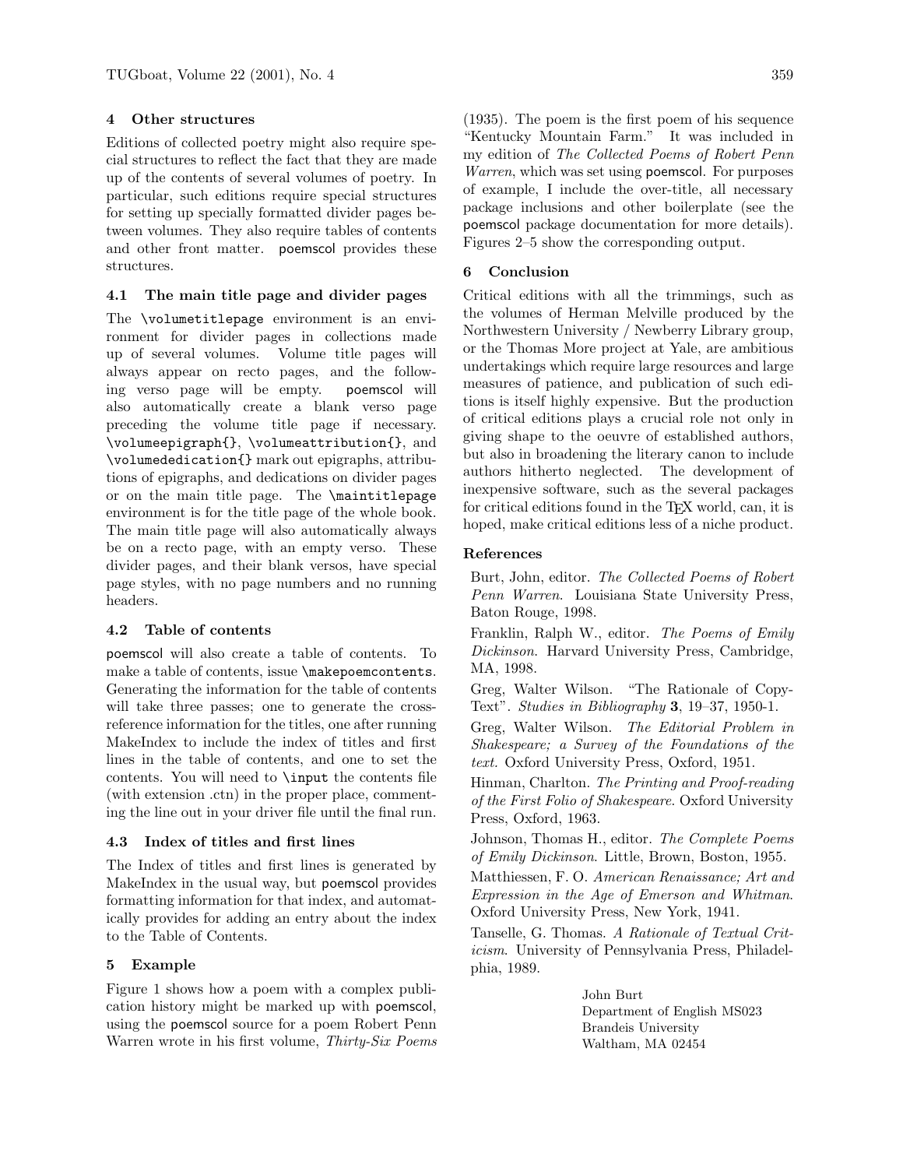#### 4 Other structures

Editions of collected poetry might also require special structures to reflect the fact that they are made up of the contents of several volumes of poetry. In particular, such editions require special structures for setting up specially formatted divider pages between volumes. They also require tables of contents and other front matter. poemscol provides these structures.

#### 4.1 The main title page and divider pages

The **\volumetitlepage** environment is an environment for divider pages in collections made up of several volumes. Volume title pages will always appear on recto pages, and the following verso page will be empty. poemscol will also automatically create a blank verso page preceding the volume title page if necessary. \volumeepigraph{}, \volumeattribution{}, and \volumededication{} mark out epigraphs, attributions of epigraphs, and dedications on divider pages or on the main title page. The \maintitlepage environment is for the title page of the whole book. The main title page will also automatically always be on a recto page, with an empty verso. These divider pages, and their blank versos, have special page styles, with no page numbers and no running headers.

#### 4.2 Table of contents

poemscol will also create a table of contents. To make a table of contents, issue \makepoemcontents. Generating the information for the table of contents will take three passes; one to generate the crossreference information for the titles, one after running MakeIndex to include the index of titles and first lines in the table of contents, and one to set the contents. You will need to \input the contents file (with extension .ctn) in the proper place, commenting the line out in your driver file until the final run.

#### 4.3 Index of titles and first lines

The Index of titles and first lines is generated by MakeIndex in the usual way, but poemscol provides formatting information for that index, and automatically provides for adding an entry about the index to the Table of Contents.

#### 5 Example

Figure 1 shows how a poem with a complex publication history might be marked up with poemscol, using the poemscol source for a poem Robert Penn Warren wrote in his first volume, Thirty-Six Poems (1935). The poem is the first poem of his sequence "Kentucky Mountain Farm." It was included in my edition of The Collected Poems of Robert Penn Warren, which was set using poemscol. For purposes of example, I include the over-title, all necessary package inclusions and other boilerplate (see the poemscol package documentation for more details). Figures 2–5 show the corresponding output.

#### 6 Conclusion

Critical editions with all the trimmings, such as the volumes of Herman Melville produced by the Northwestern University / Newberry Library group, or the Thomas More project at Yale, are ambitious undertakings which require large resources and large measures of patience, and publication of such editions is itself highly expensive. But the production of critical editions plays a crucial role not only in giving shape to the oeuvre of established authors, but also in broadening the literary canon to include authors hitherto neglected. The development of inexpensive software, such as the several packages for critical editions found in the TEX world, can, it is hoped, make critical editions less of a niche product.

#### References

Burt, John, editor. The Collected Poems of Robert Penn Warren. Louisiana State University Press, Baton Rouge, 1998.

Franklin, Ralph W., editor. The Poems of Emily Dickinson. Harvard University Press, Cambridge, MA, 1998.

Greg, Walter Wilson. "The Rationale of Copy-Text". Studies in Bibliography 3, 19–37, 1950-1.

Greg, Walter Wilson. The Editorial Problem in Shakespeare; a Survey of the Foundations of the text. Oxford University Press, Oxford, 1951.

Hinman, Charlton. The Printing and Proof-reading of the First Folio of Shakespeare. Oxford University Press, Oxford, 1963.

Johnson, Thomas H., editor. The Complete Poems of Emily Dickinson. Little, Brown, Boston, 1955.

Matthiessen, F. O. American Renaissance; Art and Expression in the Age of Emerson and Whitman. Oxford University Press, New York, 1941.

Tanselle, G. Thomas. A Rationale of Textual Criticism. University of Pennsylvania Press, Philadelphia, 1989.

> John Burt Department of English MS023 Brandeis University Waltham, MA 02454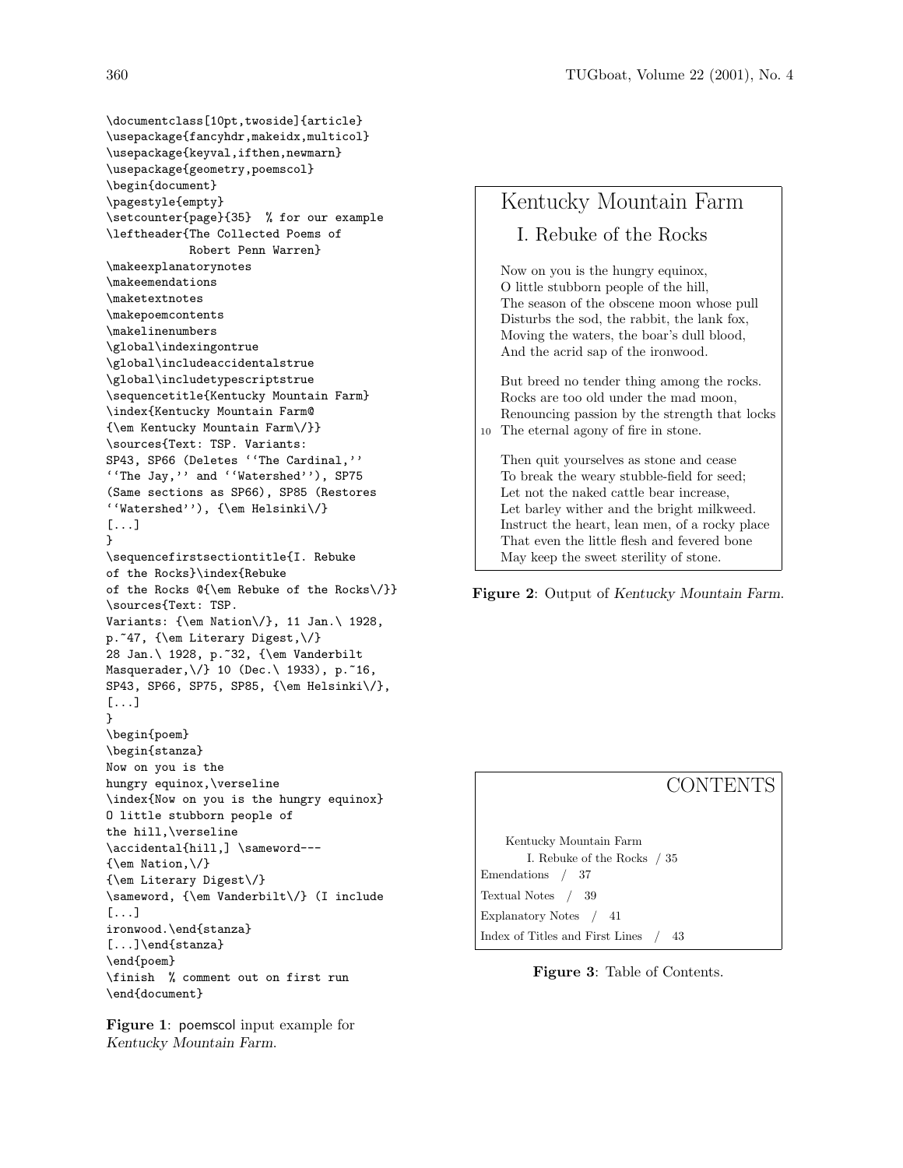\documentclass[10pt,twoside]{article} \usepackage{fancyhdr,makeidx,multicol} \usepackage{keyval,ifthen,newmarn} \usepackage{geometry,poemscol} \begin{document} \pagestyle{empty} \setcounter{page}{35} % for our example \leftheader{The Collected Poems of Robert Penn Warren} \makeexplanatorynotes \makeemendations \maketextnotes \makepoemcontents \makelinenumbers \global\indexingontrue \global\includeaccidentalstrue \global\includetypescriptstrue \sequencetitle{Kentucky Mountain Farm} \index{Kentucky Mountain Farm@ {\em Kentucky Mountain Farm\/}} \sources{Text: TSP. Variants: SP43, SP66 (Deletes ''The Cardinal,'' ''The Jay,'' and ''Watershed''), SP75 (Same sections as SP66), SP85 (Restores ''Watershed''), {\em Helsinki\/} [...] } \sequencefirstsectiontitle{I. Rebuke of the Rocks}\index{Rebuke of the Rocks @{\em Rebuke of the Rocks\/}} \sources{Text: TSP. Variants: {\em Nation\/}, 11 Jan.\ 1928, p.~47, {\em Literary Digest,\/} 28 Jan.\ 1928, p.~32, {\em Vanderbilt Masquerader,\/} 10 (Dec.\ 1933), p.~16, SP43, SP66, SP75, SP85, {\em Helsinki\/}, [...] } \begin{poem} \begin{stanza} Now on you is the hungry equinox,\verseline \index{Now on you is the hungry equinox} O little stubborn people of the hill,\verseline \accidental{hill,] \sameword--- $\{\text{em Nation}, \frac{\}$ {\em Literary Digest\/} \sameword, {\em Vanderbilt\/} (I include [...] ironwood.\end{stanza} [...]\end{stanza} \end{poem} \finish % comment out on first run \end{document}

Figure 1: poemscol input example for Kentucky Mountain Farm.

Kentucky Mountain Farm I. Rebuke of the Rocks Now on you is the hungry equinox, O little stubborn people of the hill, The season of the obscene moon whose pull Disturbs the sod, the rabbit, the lank fox, Moving the waters, the boar's dull blood, And the acrid sap of the ironwood. But breed no tender thing among the rocks. Rocks are too old under the mad moon, Renouncing passion by the strength that locks 10 The eternal agony of fire in stone. Then quit yourselves as stone and cease To break the weary stubble-field for seed; Let not the naked cattle bear increase, Let barley wither and the bright milkweed. Instruct the heart, lean men, of a rocky place That even the little flesh and fevered bone May keep the sweet sterility of stone.

Figure 2: Output of Kentucky Mountain Farm.

## **CONTENTS**

Kentucky Mountain Farm I. Rebuke of the Rocks / 35 Emendations / 37 Textual Notes / 39 Explanatory Notes / 41 Index of Titles and First Lines / 43

#### Figure 3: Table of Contents.